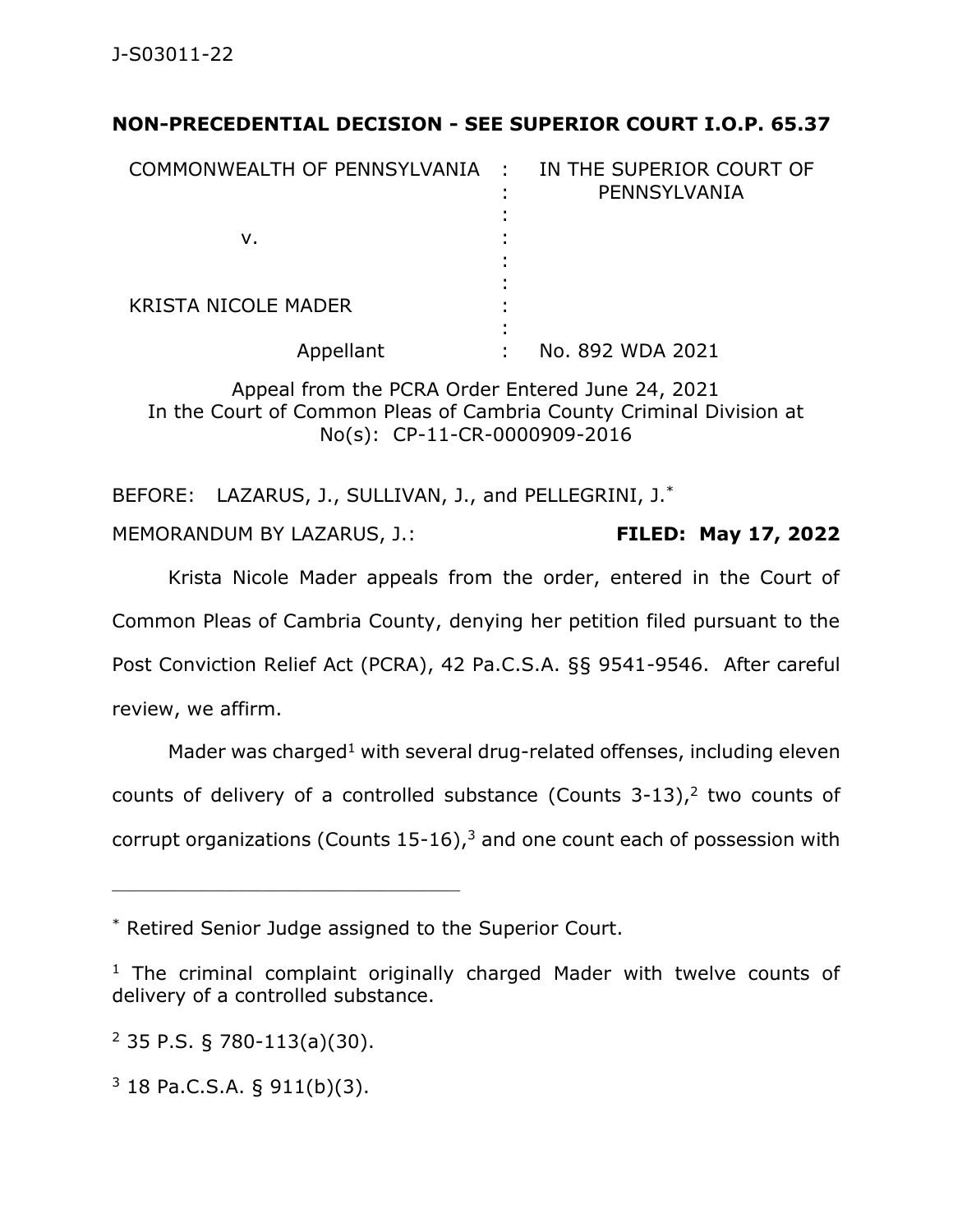## **NON-PRECEDENTIAL DECISION - SEE SUPERIOR COURT I.O.P. 65.37**

| COMMONWEALTH OF PENNSYLVANIA : | IN THE SUPERIOR COURT OF<br>PENNSYLVANIA |
|--------------------------------|------------------------------------------|
| v.                             |                                          |
| <b>KRISTA NICOLE MADER</b>     |                                          |
| Appellant                      | No. 892 WDA 2021                         |

Appeal from the PCRA Order Entered June 24, 2021 In the Court of Common Pleas of Cambria County Criminal Division at No(s): CP-11-CR-0000909-2016

BEFORE: LAZARUS, J., SULLIVAN, J., and PELLEGRINI, J.\*

MEMORANDUM BY LAZARUS, J.: **FILED: May 17, 2022**

Krista Nicole Mader appeals from the order, entered in the Court of Common Pleas of Cambria County, denying her petition filed pursuant to the Post Conviction Relief Act (PCRA), 42 Pa.C.S.A. §§ 9541-9546. After careful review, we affirm.

Mader was charged<sup>1</sup> with several drug-related offenses, including eleven counts of delivery of a controlled substance (Counts  $3-13$ ),<sup>2</sup> two counts of corrupt organizations (Counts  $15-16$ ),<sup>3</sup> and one count each of possession with

 $2$  35 P.S. § 780-113(a)(30).

\_\_\_\_\_\_\_\_\_\_\_\_\_\_\_\_\_\_\_\_\_\_\_\_\_\_\_\_\_\_\_\_\_\_\_\_\_\_\_\_\_\_\_\_

 $3$  18 Pa.C.S.A. § 911(b)(3).

<sup>\*</sup> Retired Senior Judge assigned to the Superior Court.

 $1$  The criminal complaint originally charged Mader with twelve counts of delivery of a controlled substance.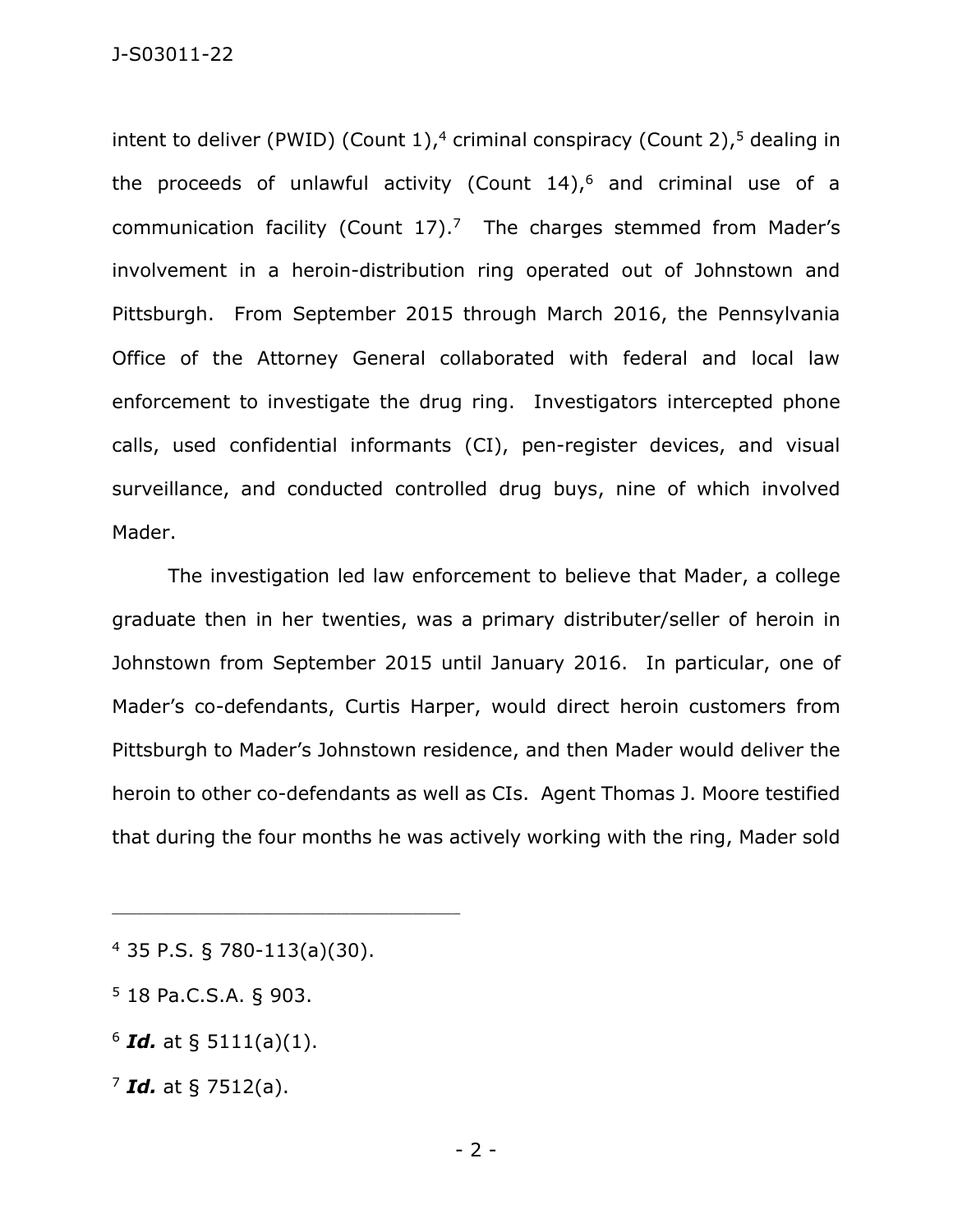intent to deliver (PWID) (Count 1), <sup>4</sup> criminal conspiracy (Count 2), <sup>5</sup> dealing in the proceeds of unlawful activity (Count 14), <sup>6</sup> and criminal use of a communication facility (Count  $17$ ).<sup>7</sup> The charges stemmed from Mader's involvement in a heroin-distribution ring operated out of Johnstown and Pittsburgh. From September 2015 through March 2016, the Pennsylvania Office of the Attorney General collaborated with federal and local law enforcement to investigate the drug ring. Investigators intercepted phone calls, used confidential informants (CI), pen-register devices, and visual surveillance, and conducted controlled drug buys, nine of which involved Mader.

The investigation led law enforcement to believe that Mader, a college graduate then in her twenties, was a primary distributer/seller of heroin in Johnstown from September 2015 until January 2016. In particular, one of Mader's co-defendants, Curtis Harper, would direct heroin customers from Pittsburgh to Mader's Johnstown residence, and then Mader would deliver the heroin to other co-defendants as well as CIs. Agent Thomas J. Moore testified that during the four months he was actively working with the ring, Mader sold

<sup>4</sup> 35 P.S. § 780-113(a)(30).

<sup>5</sup> 18 Pa.C.S.A. § 903.

 $6$  *Id.* at § 5111(a)(1).

<sup>7</sup> *Id.* at § 7512(a).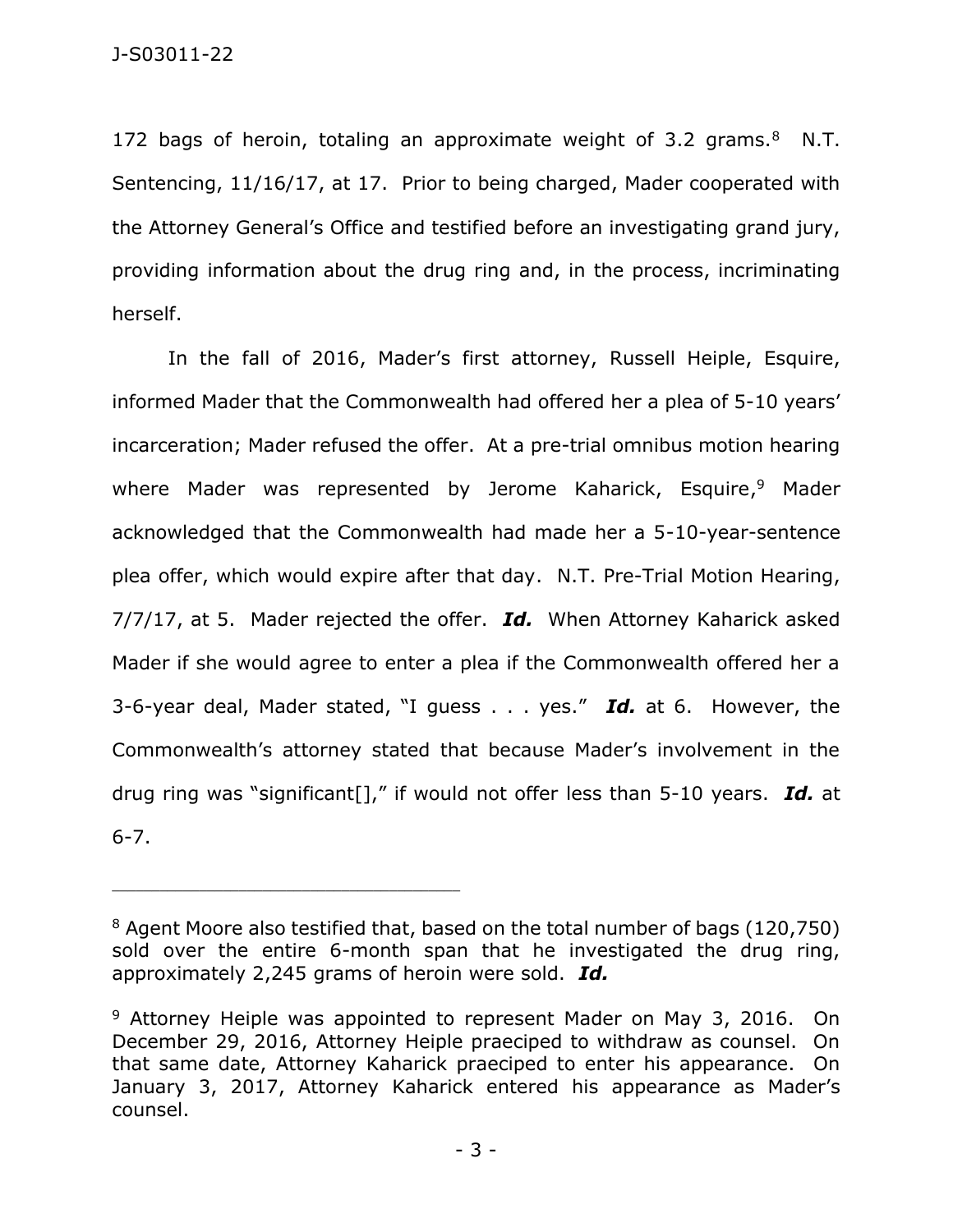172 bags of heroin, totaling an approximate weight of 3.2 grams. $8$  N.T. Sentencing, 11/16/17, at 17. Prior to being charged, Mader cooperated with the Attorney General's Office and testified before an investigating grand jury, providing information about the drug ring and, in the process, incriminating herself.

In the fall of 2016, Mader's first attorney, Russell Heiple, Esquire, informed Mader that the Commonwealth had offered her a plea of 5-10 years' incarceration; Mader refused the offer. At a pre-trial omnibus motion hearing where Mader was represented by Jerome Kaharick, Esquire, <sup>9</sup> Mader acknowledged that the Commonwealth had made her a 5-10-year-sentence plea offer, which would expire after that day. N.T. Pre-Trial Motion Hearing, 7/7/17, at 5. Mader rejected the offer. *Id.* When Attorney Kaharick asked Mader if she would agree to enter a plea if the Commonwealth offered her a 3-6-year deal, Mader stated, "I guess . . . yes." *Id.* at 6. However, the Commonwealth's attorney stated that because Mader's involvement in the drug ring was "significant[]," if would not offer less than 5-10 years. *Id.* at 6-7.

<sup>&</sup>lt;sup>8</sup> Agent Moore also testified that, based on the total number of bags (120,750) sold over the entire 6-month span that he investigated the drug ring, approximately 2,245 grams of heroin were sold. *Id.*

<sup>&</sup>lt;sup>9</sup> Attorney Heiple was appointed to represent Mader on May 3, 2016. On December 29, 2016, Attorney Heiple praeciped to withdraw as counsel. On that same date, Attorney Kaharick praeciped to enter his appearance. On January 3, 2017, Attorney Kaharick entered his appearance as Mader's counsel.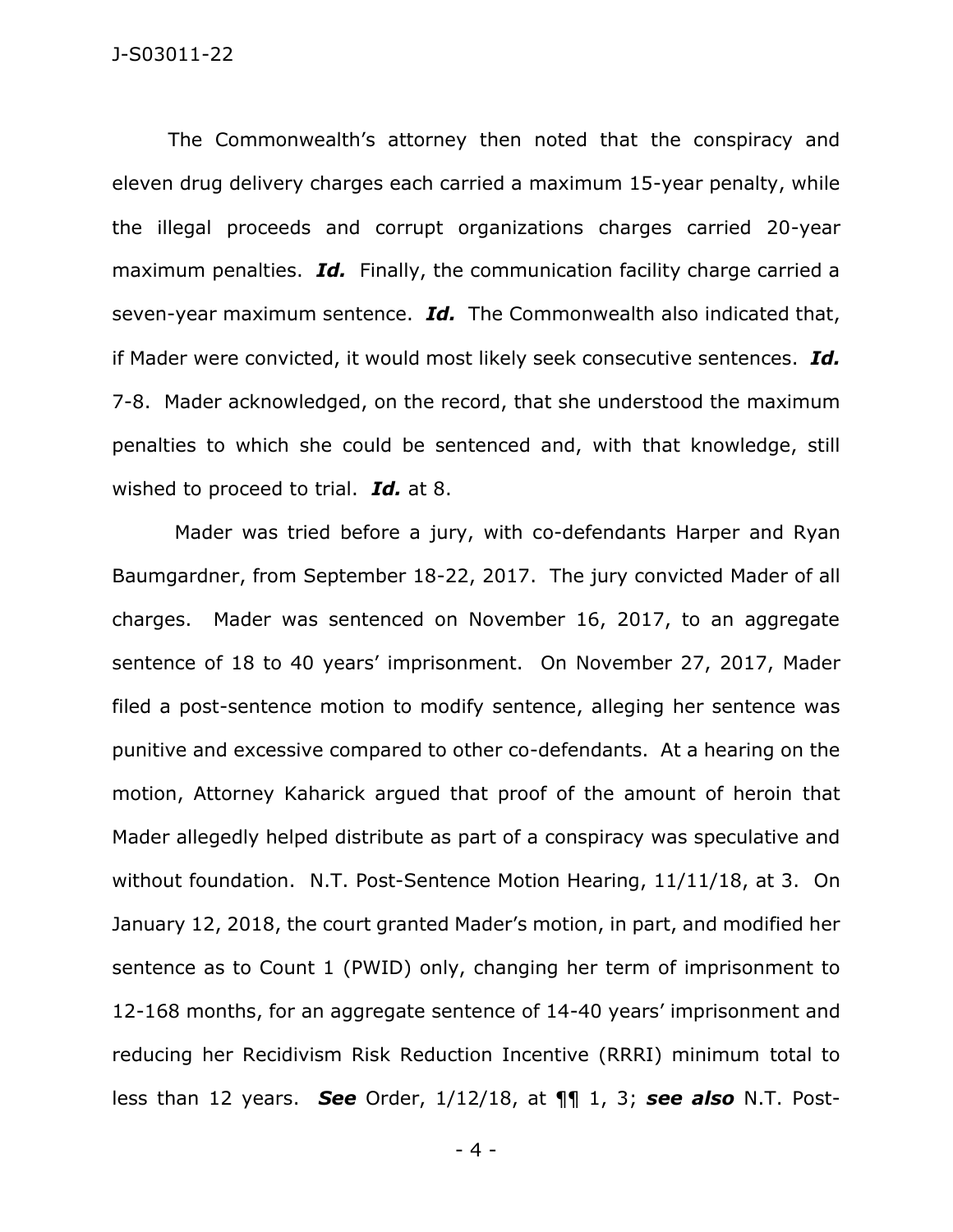## J-S03011-22

The Commonwealth's attorney then noted that the conspiracy and eleven drug delivery charges each carried a maximum 15-year penalty, while the illegal proceeds and corrupt organizations charges carried 20-year maximum penalties. *Id.* Finally, the communication facility charge carried a seven-year maximum sentence. *Id.* The Commonwealth also indicated that, if Mader were convicted, it would most likely seek consecutive sentences. *Id.* 7-8. Mader acknowledged, on the record, that she understood the maximum penalties to which she could be sentenced and, with that knowledge, still wished to proceed to trial. *Id.* at 8.

Mader was tried before a jury, with co-defendants Harper and Ryan Baumgardner, from September 18-22, 2017. The jury convicted Mader of all charges. Mader was sentenced on November 16, 2017, to an aggregate sentence of 18 to 40 years' imprisonment. On November 27, 2017, Mader filed a post-sentence motion to modify sentence, alleging her sentence was punitive and excessive compared to other co-defendants. At a hearing on the motion, Attorney Kaharick argued that proof of the amount of heroin that Mader allegedly helped distribute as part of a conspiracy was speculative and without foundation. N.T. Post-Sentence Motion Hearing, 11/11/18, at 3. On January 12, 2018, the court granted Mader's motion, in part, and modified her sentence as to Count 1 (PWID) only, changing her term of imprisonment to 12-168 months, for an aggregate sentence of 14-40 years' imprisonment and reducing her Recidivism Risk Reduction Incentive (RRRI) minimum total to less than 12 years. *See* Order, 1/12/18, at ¶¶ 1, 3; *see also* N.T. Post-

- 4 -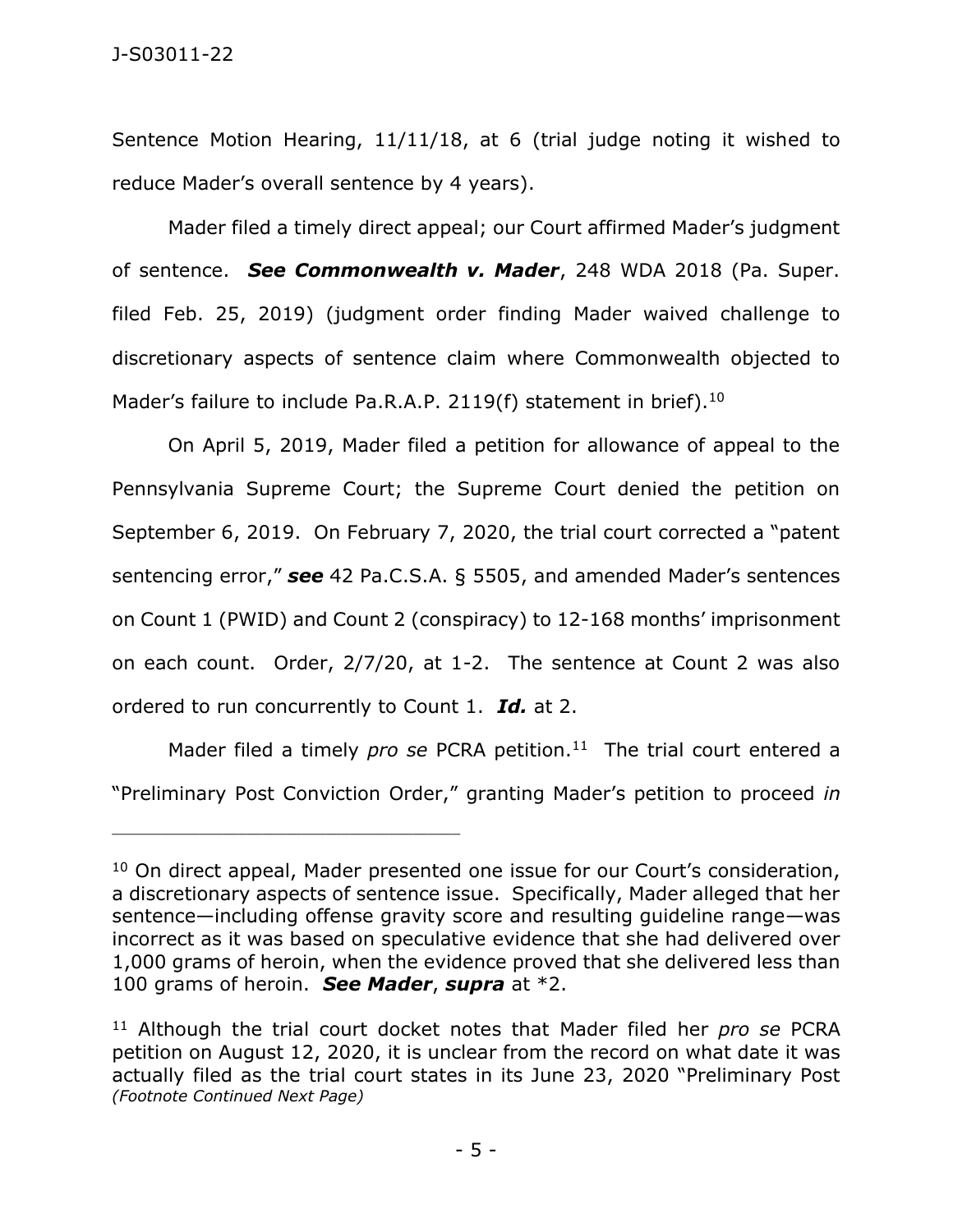Sentence Motion Hearing, 11/11/18, at 6 (trial judge noting it wished to reduce Mader's overall sentence by 4 years).

Mader filed a timely direct appeal; our Court affirmed Mader's judgment of sentence. *See Commonwealth v. Mader*, 248 WDA 2018 (Pa. Super. filed Feb. 25, 2019) (judgment order finding Mader waived challenge to discretionary aspects of sentence claim where Commonwealth objected to Mader's failure to include Pa.R.A.P. 2119(f) statement in brief).<sup>10</sup>

On April 5, 2019, Mader filed a petition for allowance of appeal to the Pennsylvania Supreme Court; the Supreme Court denied the petition on September 6, 2019. On February 7, 2020, the trial court corrected a "patent sentencing error," *see* 42 Pa.C.S.A. § 5505, and amended Mader's sentences on Count 1 (PWID) and Count 2 (conspiracy) to 12-168 months' imprisonment on each count. Order, 2/7/20, at 1-2. The sentence at Count 2 was also ordered to run concurrently to Count 1. *Id.* at 2.

Mader filed a timely *pro se* PCRA petition.<sup>11</sup> The trial court entered a "Preliminary Post Conviction Order," granting Mader's petition to proceed *in* 

<sup>&</sup>lt;sup>10</sup> On direct appeal, Mader presented one issue for our Court's consideration, a discretionary aspects of sentence issue. Specifically, Mader alleged that her sentence—including offense gravity score and resulting guideline range—was incorrect as it was based on speculative evidence that she had delivered over 1,000 grams of heroin, when the evidence proved that she delivered less than 100 grams of heroin. *See Mader*, *supra* at \*2.

<sup>11</sup> Although the trial court docket notes that Mader filed her *pro se* PCRA petition on August 12, 2020, it is unclear from the record on what date it was actually filed as the trial court states in its June 23, 2020 "Preliminary Post *(Footnote Continued Next Page)*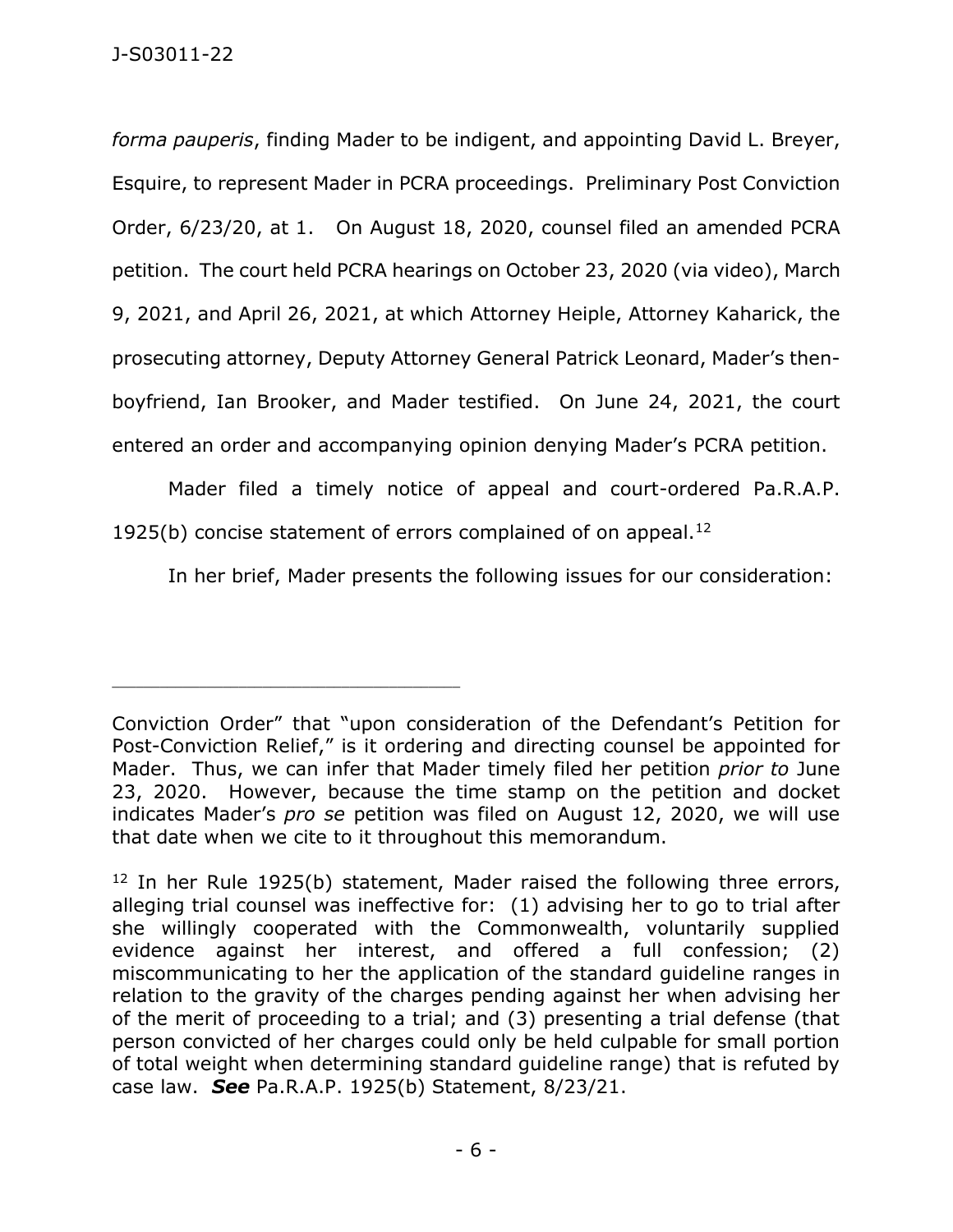## J-S03011-22

*forma pauperis*, finding Mader to be indigent, and appointing David L. Breyer, Esquire, to represent Mader in PCRA proceedings. Preliminary Post Conviction Order, 6/23/20, at 1. On August 18, 2020, counsel filed an amended PCRA petition. The court held PCRA hearings on October 23, 2020 (via video), March 9, 2021, and April 26, 2021, at which Attorney Heiple, Attorney Kaharick, the prosecuting attorney, Deputy Attorney General Patrick Leonard, Mader's thenboyfriend, Ian Brooker, and Mader testified. On June 24, 2021, the court entered an order and accompanying opinion denying Mader's PCRA petition.

Mader filed a timely notice of appeal and court-ordered Pa.R.A.P. 1925(b) concise statement of errors complained of on appeal. $12$ 

In her brief, Mader presents the following issues for our consideration:

Conviction Order" that "upon consideration of the Defendant's Petition for Post-Conviction Relief," is it ordering and directing counsel be appointed for Mader. Thus, we can infer that Mader timely filed her petition *prior to* June 23, 2020. However, because the time stamp on the petition and docket indicates Mader's *pro se* petition was filed on August 12, 2020, we will use that date when we cite to it throughout this memorandum.

<sup>&</sup>lt;sup>12</sup> In her Rule 1925(b) statement, Mader raised the following three errors, alleging trial counsel was ineffective for: (1) advising her to go to trial after she willingly cooperated with the Commonwealth, voluntarily supplied evidence against her interest, and offered a full confession; (2) miscommunicating to her the application of the standard guideline ranges in relation to the gravity of the charges pending against her when advising her of the merit of proceeding to a trial; and (3) presenting a trial defense (that person convicted of her charges could only be held culpable for small portion of total weight when determining standard guideline range) that is refuted by case law. *See* Pa.R.A.P. 1925(b) Statement, 8/23/21.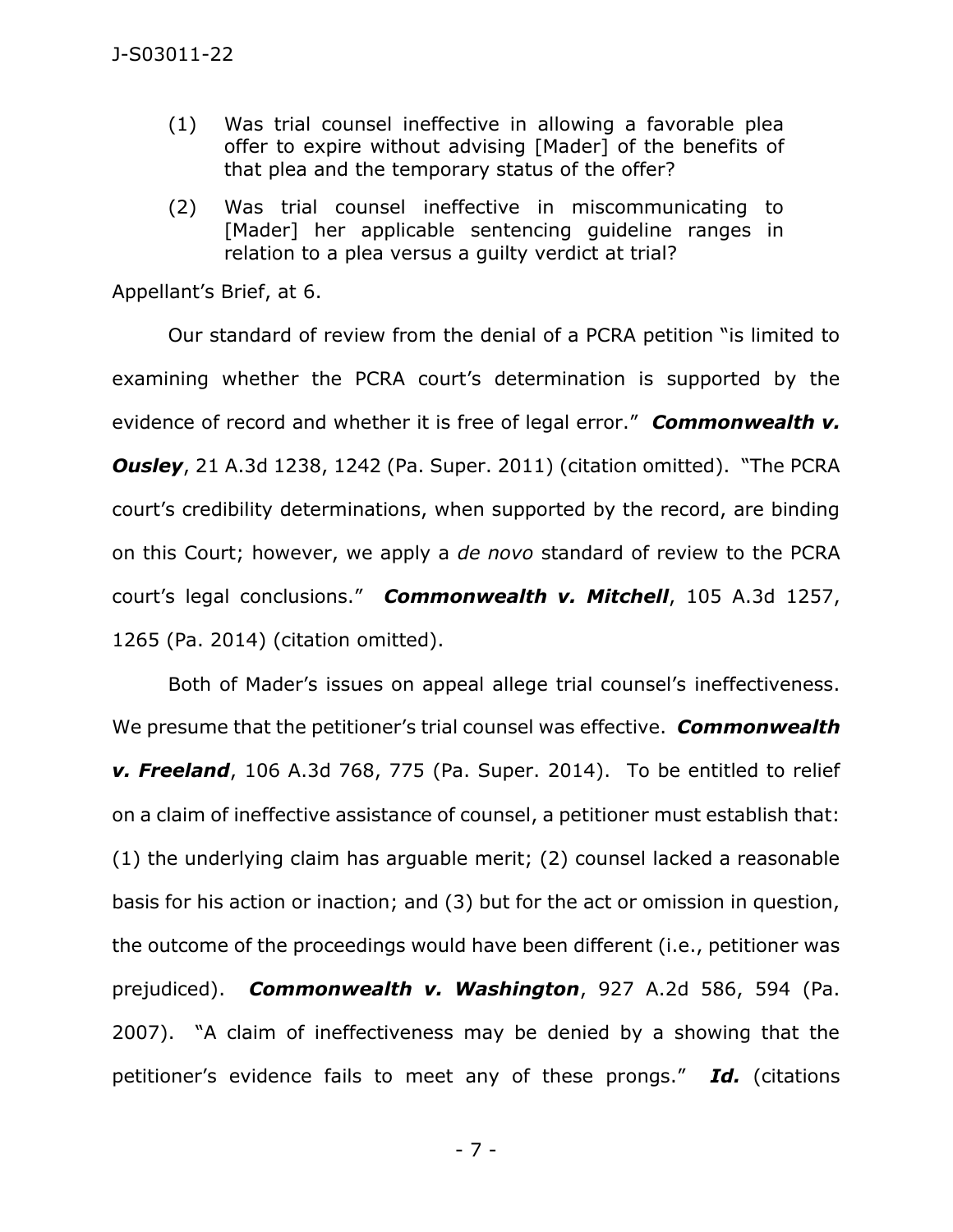- (1) Was trial counsel ineffective in allowing a favorable plea offer to expire without advising [Mader] of the benefits of that plea and the temporary status of the offer?
- (2) Was trial counsel ineffective in miscommunicating to [Mader] her applicable sentencing guideline ranges in relation to a plea versus a guilty verdict at trial?

Appellant's Brief, at 6.

Our standard of review from the denial of a PCRA petition "is limited to examining whether the PCRA court's determination is supported by the evidence of record and whether it is free of legal error." *Commonwealth v. Ousley*, 21 A.3d 1238, 1242 (Pa. Super. 2011) (citation omitted). "The PCRA court's credibility determinations, when supported by the record, are binding on this Court; however, we apply a *de novo* standard of review to the PCRA court's legal conclusions." *Commonwealth v. Mitchell*, 105 A.3d 1257, 1265 (Pa. 2014) (citation omitted).

Both of Mader's issues on appeal allege trial counsel's ineffectiveness. We presume that the petitioner's trial counsel was effective. *Commonwealth v. Freeland*, 106 A.3d 768, 775 (Pa. Super. 2014). To be entitled to relief on a claim of ineffective assistance of counsel, a petitioner must establish that: (1) the underlying claim has arguable merit; (2) counsel lacked a reasonable basis for his action or inaction; and (3) but for the act or omission in question, the outcome of the proceedings would have been different (i.e., petitioner was prejudiced). *Commonwealth v. Washington*, 927 A.2d 586, 594 (Pa. 2007). "A claim of ineffectiveness may be denied by a showing that the petitioner's evidence fails to meet any of these prongs." *Id.* (citations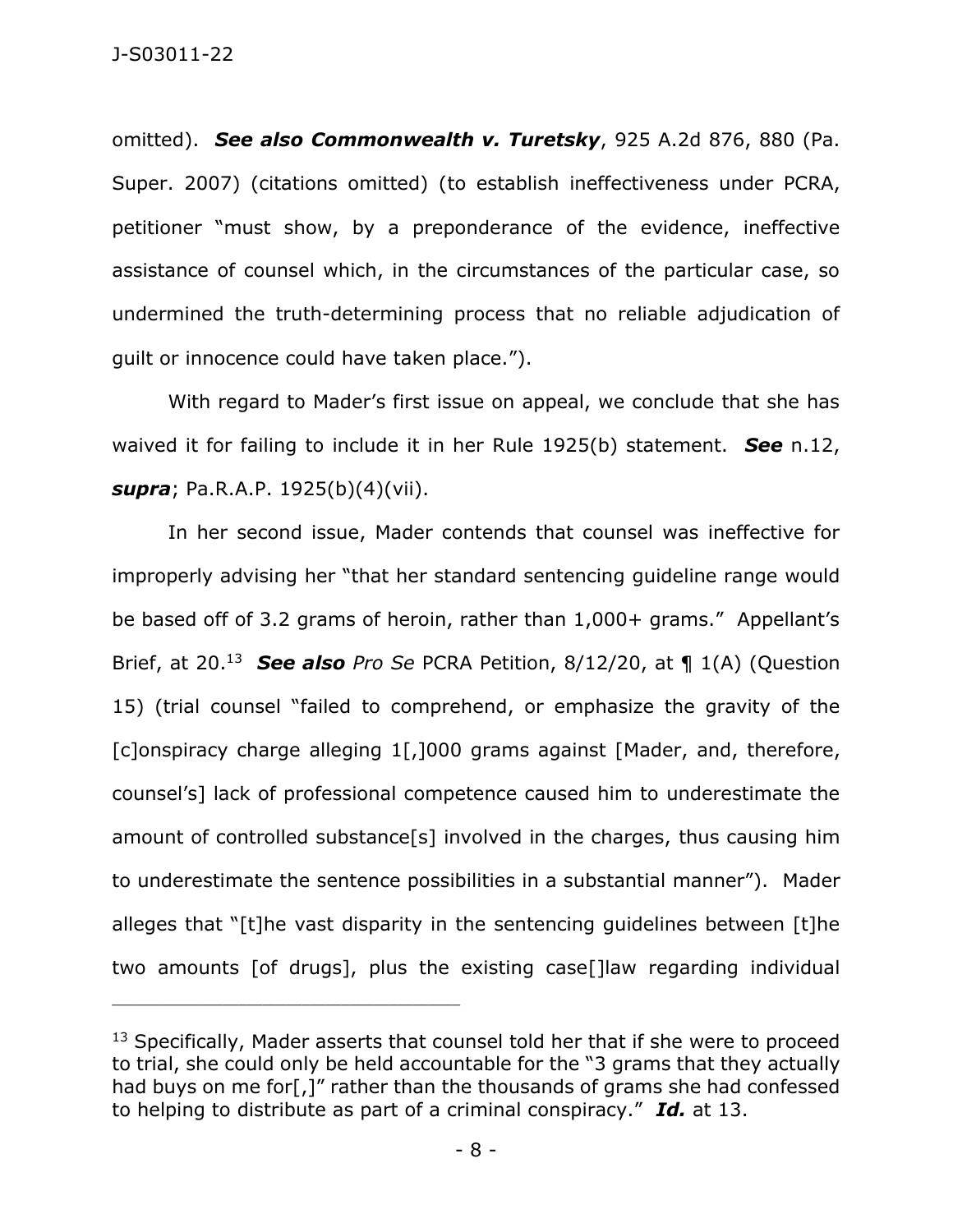omitted). *See also Commonwealth v. Turetsky*, 925 A.2d 876, 880 (Pa. Super. 2007) (citations omitted) (to establish ineffectiveness under PCRA, petitioner "must show, by a preponderance of the evidence, ineffective assistance of counsel which, in the circumstances of the particular case, so undermined the truth-determining process that no reliable adjudication of guilt or innocence could have taken place.").

With regard to Mader's first issue on appeal, we conclude that she has waived it for failing to include it in her Rule 1925(b) statement. *See* n.12, *supra*; Pa.R.A.P. 1925(b)(4)(vii).

In her second issue, Mader contends that counsel was ineffective for improperly advising her "that her standard sentencing guideline range would be based off of 3.2 grams of heroin, rather than 1,000+ grams." Appellant's Brief, at 20.<sup>13</sup> *See also Pro Se* PCRA Petition, 8/12/20, at ¶ 1(A) (Question 15) (trial counsel "failed to comprehend, or emphasize the gravity of the [c]onspiracy charge alleging 1[,]000 grams against [Mader, and, therefore, counsel's] lack of professional competence caused him to underestimate the amount of controlled substance[s] involved in the charges, thus causing him to underestimate the sentence possibilities in a substantial manner"). Mader alleges that "[t]he vast disparity in the sentencing guidelines between [t]he two amounts [of drugs], plus the existing case[]law regarding individual

<sup>&</sup>lt;sup>13</sup> Specifically, Mader asserts that counsel told her that if she were to proceed to trial, she could only be held accountable for the "3 grams that they actually had buys on me for[,]" rather than the thousands of grams she had confessed to helping to distribute as part of a criminal conspiracy." *Id.* at 13.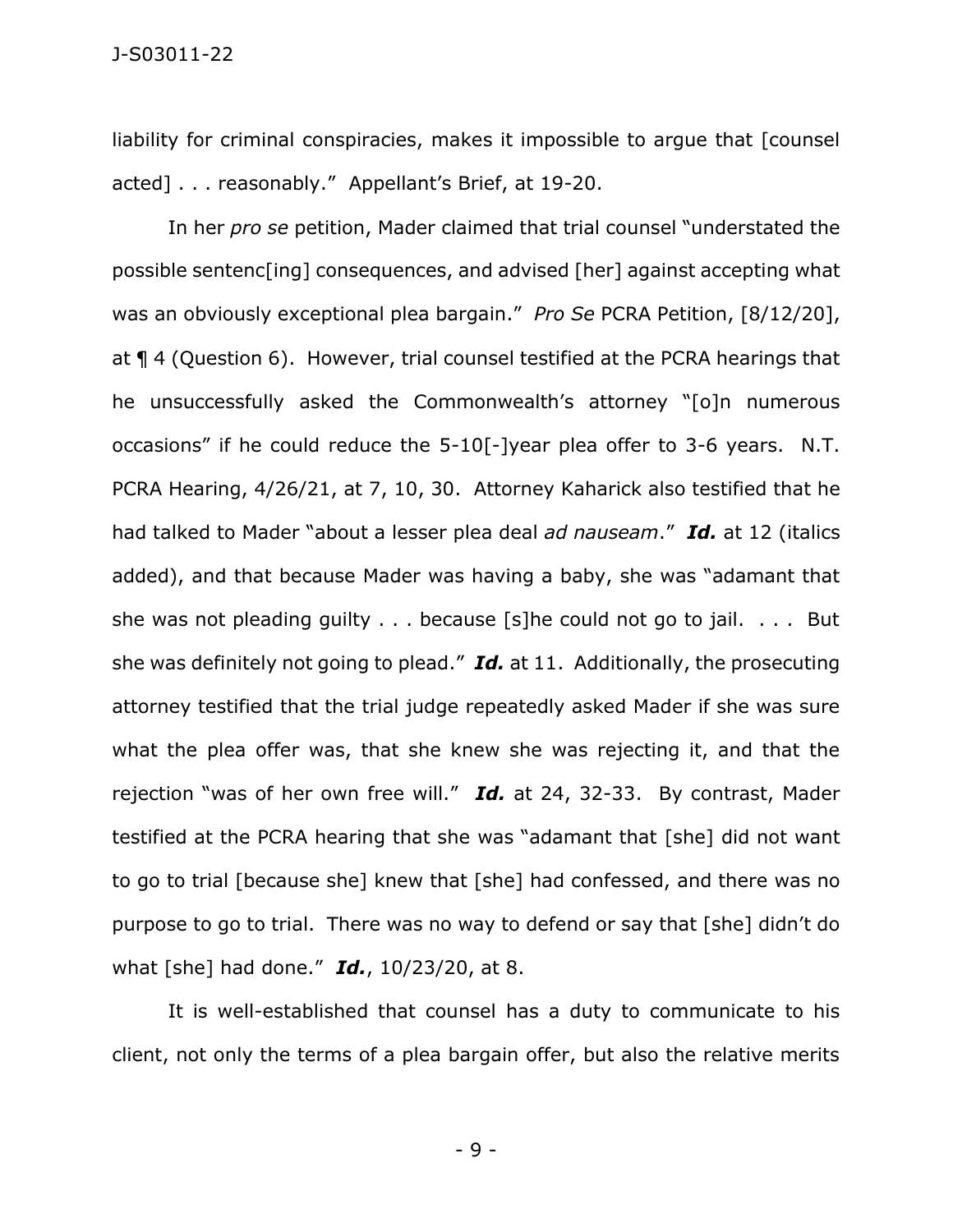liability for criminal conspiracies, makes it impossible to arque that [counsel] acted] . . . reasonably." Appellant's Brief, at 19-20.

In her *pro se* petition, Mader claimed that trial counsel "understated the possible sentenc[ing] consequences, and advised [her] against accepting what was an obviously exceptional plea bargain." *Pro Se* PCRA Petition, [8/12/20], at ¶ 4 (Question 6). However, trial counsel testified at the PCRA hearings that he unsuccessfully asked the Commonwealth's attorney "[o]n numerous occasions" if he could reduce the 5-10[-]year plea offer to 3-6 years. N.T. PCRA Hearing, 4/26/21, at 7, 10, 30. Attorney Kaharick also testified that he had talked to Mader "about a lesser plea deal *ad nauseam*." *Id.* at 12 (italics added), and that because Mader was having a baby, she was "adamant that she was not pleading guilty . . . because [s]he could not go to jail. . . . But she was definitely not going to plead." *Id.* at 11. Additionally, the prosecuting attorney testified that the trial judge repeatedly asked Mader if she was sure what the plea offer was, that she knew she was rejecting it, and that the rejection "was of her own free will." *Id.* at 24, 32-33. By contrast, Mader testified at the PCRA hearing that she was "adamant that [she] did not want to go to trial [because she] knew that [she] had confessed, and there was no purpose to go to trial. There was no way to defend or say that [she] didn't do what [she] had done." *Id.*, 10/23/20, at 8.

It is well-established that counsel has a duty to communicate to his client, not only the terms of a plea bargain offer, but also the relative merits

- 9 -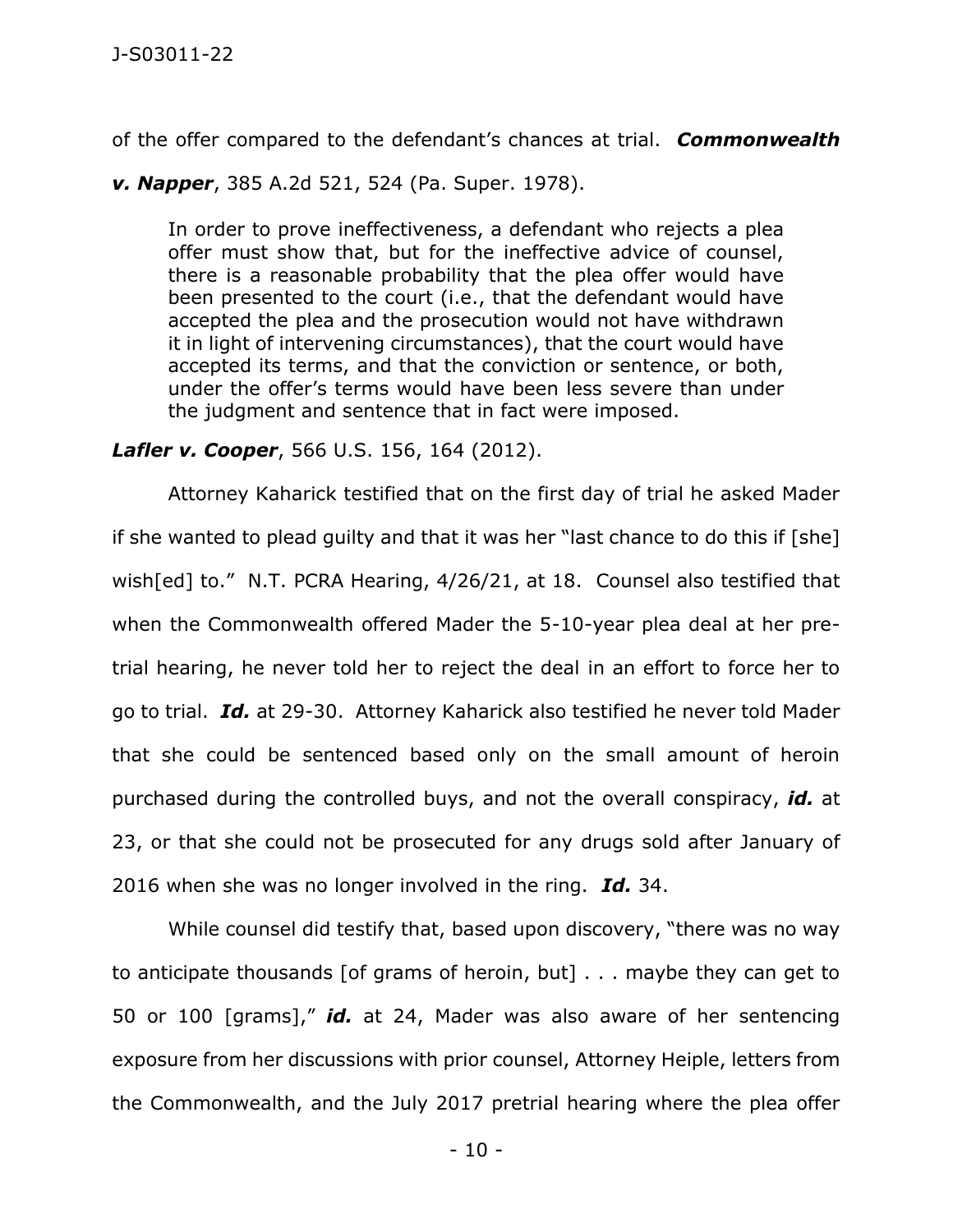of the offer compared to the defendant's chances at trial. *Commonwealth* 

*v. Napper*, 385 A.2d 521, 524 (Pa. Super. 1978).

In order to prove ineffectiveness, a defendant who rejects a plea offer must show that, but for the ineffective advice of counsel, there is a reasonable probability that the plea offer would have been presented to the court (i.e., that the defendant would have accepted the plea and the prosecution would not have withdrawn it in light of intervening circumstances), that the court would have accepted its terms, and that the conviction or sentence, or both, under the offer's terms would have been less severe than under the judgment and sentence that in fact were imposed.

## *Lafler v. Cooper*, 566 U.S. 156, 164 (2012).

Attorney Kaharick testified that on the first day of trial he asked Mader if she wanted to plead guilty and that it was her "last chance to do this if [she] wish[ed] to." N.T. PCRA Hearing, 4/26/21, at 18. Counsel also testified that when the Commonwealth offered Mader the 5-10-year plea deal at her pretrial hearing, he never told her to reject the deal in an effort to force her to go to trial. *Id.* at 29-30. Attorney Kaharick also testified he never told Mader that she could be sentenced based only on the small amount of heroin purchased during the controlled buys, and not the overall conspiracy, *id.* at 23, or that she could not be prosecuted for any drugs sold after January of 2016 when she was no longer involved in the ring. *Id.* 34.

While counsel did testify that, based upon discovery, "there was no way to anticipate thousands [of grams of heroin, but] . . . maybe they can get to 50 or 100 [grams]," *id.* at 24, Mader was also aware of her sentencing exposure from her discussions with prior counsel, Attorney Heiple, letters from the Commonwealth, and the July 2017 pretrial hearing where the plea offer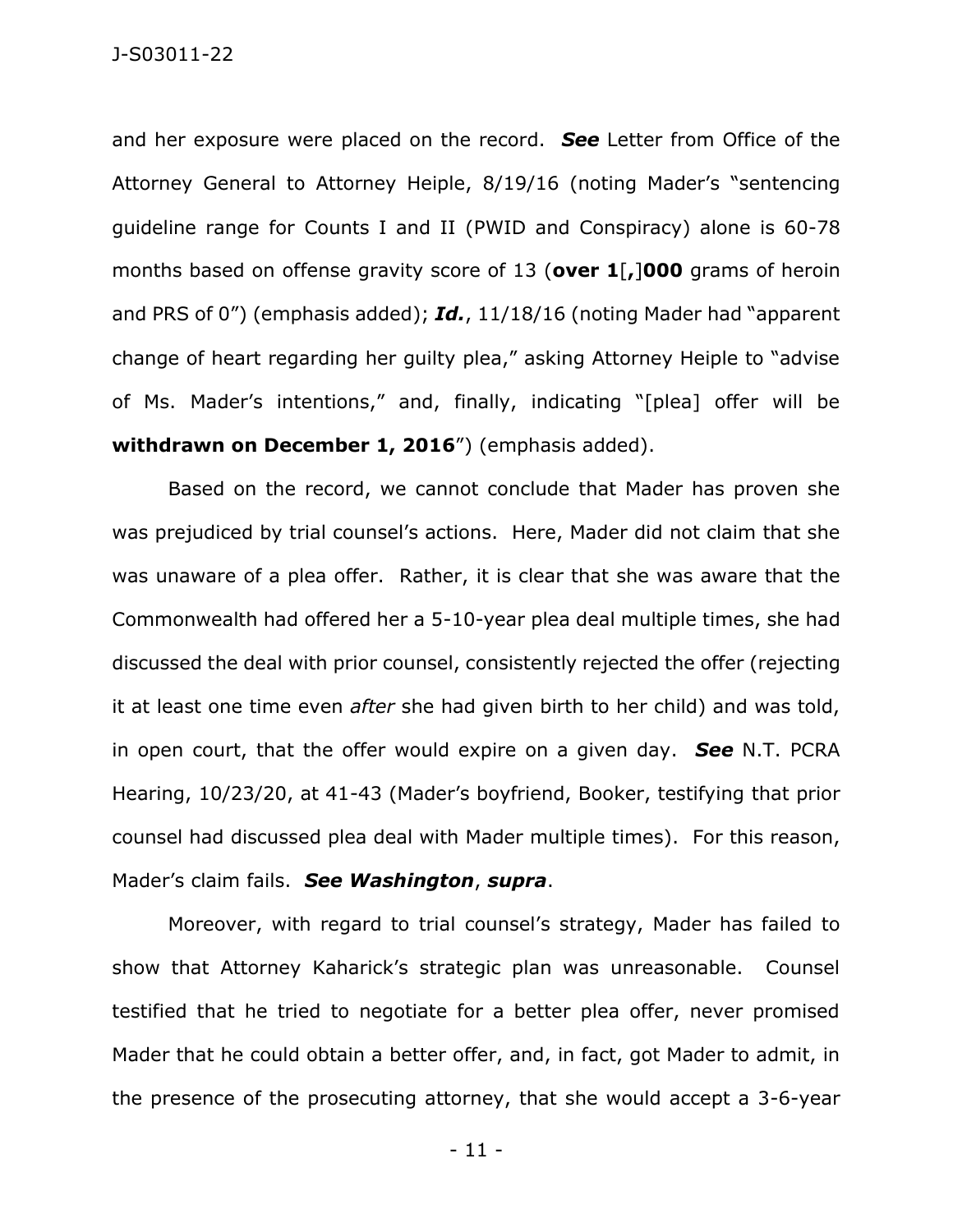and her exposure were placed on the record. *See* Letter from Office of the Attorney General to Attorney Heiple, 8/19/16 (noting Mader's "sentencing guideline range for Counts I and II (PWID and Conspiracy) alone is 60-78 months based on offense gravity score of 13 (**over 1**[**,**]**000** grams of heroin and PRS of 0") (emphasis added); *Id.*, 11/18/16 (noting Mader had "apparent change of heart regarding her guilty plea," asking Attorney Heiple to "advise of Ms. Mader's intentions," and, finally, indicating "[plea] offer will be **withdrawn on December 1, 2016**") (emphasis added).

Based on the record, we cannot conclude that Mader has proven she was prejudiced by trial counsel's actions. Here, Mader did not claim that she was unaware of a plea offer. Rather, it is clear that she was aware that the Commonwealth had offered her a 5-10-year plea deal multiple times, she had discussed the deal with prior counsel, consistently rejected the offer (rejecting it at least one time even *after* she had given birth to her child) and was told, in open court, that the offer would expire on a given day. *See* N.T. PCRA Hearing, 10/23/20, at 41-43 (Mader's boyfriend, Booker, testifying that prior counsel had discussed plea deal with Mader multiple times). For this reason, Mader's claim fails. *See Washington*, *supra*.

Moreover, with regard to trial counsel's strategy, Mader has failed to show that Attorney Kaharick's strategic plan was unreasonable. Counsel testified that he tried to negotiate for a better plea offer, never promised Mader that he could obtain a better offer, and, in fact, got Mader to admit, in the presence of the prosecuting attorney, that she would accept a 3-6-year

- 11 -